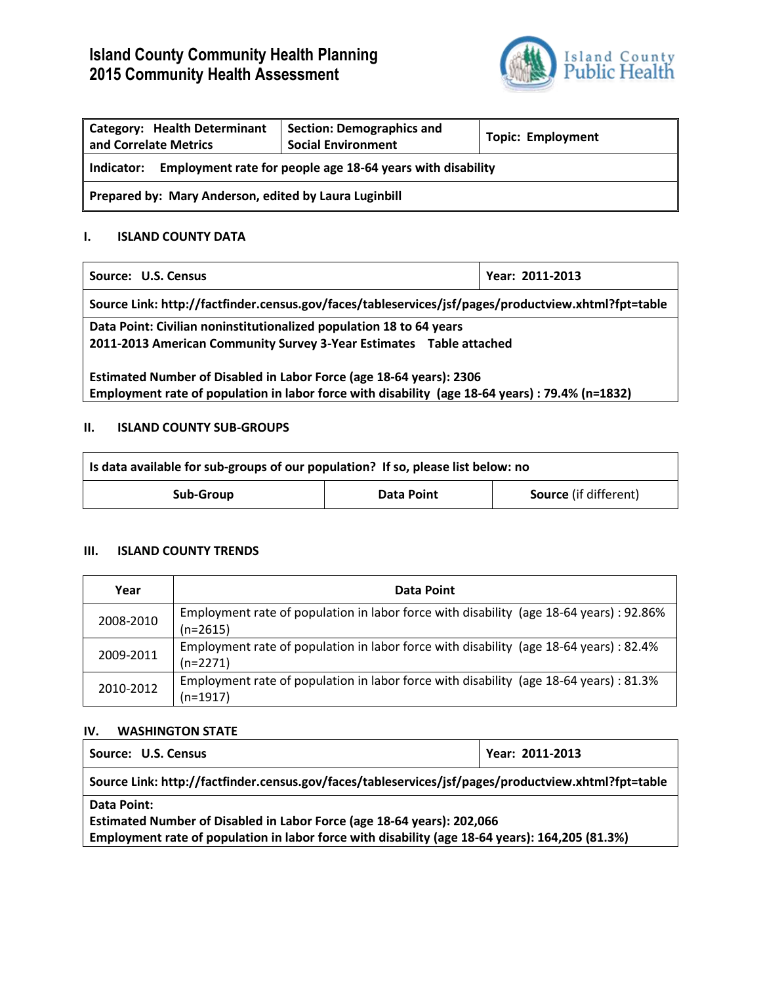# **Island County Community Health Planning 2015 Community Health Assessment**



| <b>Category: Health Determinant</b><br>and Correlate Metrics             | <b>Section: Demographics and</b><br><b>Social Environment</b> | <b>Topic: Employment</b> |  |
|--------------------------------------------------------------------------|---------------------------------------------------------------|--------------------------|--|
| Employment rate for people age 18-64 years with disability<br>Indicator: |                                                               |                          |  |
| Prepared by: Mary Anderson, edited by Laura Luginbill                    |                                                               |                          |  |

## **I. ISLAND COUNTY DATA**

| Source: U.S. Census                                                                                                                                                    | Year: 2011-2013 |  |
|------------------------------------------------------------------------------------------------------------------------------------------------------------------------|-----------------|--|
| Source Link: http://factfinder.census.gov/faces/tableservices/jsf/pages/productview.xhtml?fpt=table                                                                    |                 |  |
| Data Point: Civilian noninstitutionalized population 18 to 64 years<br>2011-2013 American Community Survey 3-Year Estimates Table attached                             |                 |  |
| Estimated Number of Disabled in Labor Force (age 18-64 years): 2306<br>Employment rate of population in labor force with disability (age 18-64 years) : 79.4% (n=1832) |                 |  |

# **II. ISLAND COUNTY SUB-GROUPS**

| Is data available for sub-groups of our population? If so, please list below: no |            |                              |  |  |
|----------------------------------------------------------------------------------|------------|------------------------------|--|--|
| Sub-Group                                                                        | Data Point | <b>Source</b> (if different) |  |  |

## **III. ISLAND COUNTY TRENDS**

| Year      | Data Point                                                                                            |
|-----------|-------------------------------------------------------------------------------------------------------|
| 2008-2010 | Employment rate of population in labor force with disability (age 18-64 years) : 92.86%<br>$(n=2615)$ |
| 2009-2011 | Employment rate of population in labor force with disability (age 18-64 years) : 82.4%<br>$(n=2271)$  |
| 2010-2012 | Employment rate of population in labor force with disability (age 18-64 years) : 81.3%<br>$(n=1917)$  |

# **IV. WASHINGTON STATE**

| Source: U.S. Census                                                                                 | Year: 2011-2013 |  |
|-----------------------------------------------------------------------------------------------------|-----------------|--|
| Source Link: http://factfinder.census.gov/faces/tableservices/jsf/pages/productview.xhtml?fpt=table |                 |  |
| Data Point:                                                                                         |                 |  |
| Estimated Number of Disabled in Labor Force (age 18-64 years): 202,066                              |                 |  |
| Employment rate of population in labor force with disability (age 18-64 years): 164,205 (81.3%)     |                 |  |